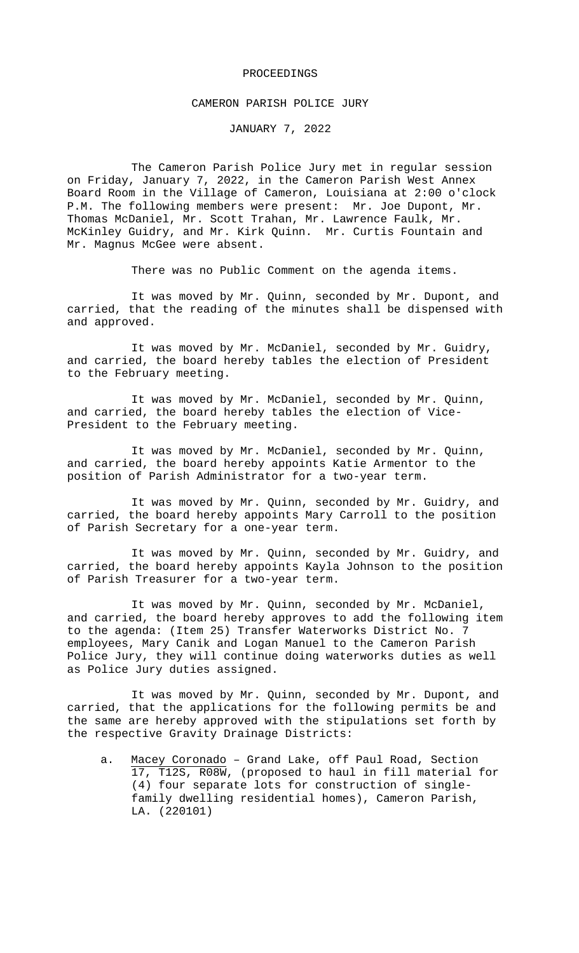#### PROCEEDINGS

#### CAMERON PARISH POLICE JURY

JANUARY 7, 2022

The Cameron Parish Police Jury met in regular session on Friday, January 7, 2022, in the Cameron Parish West Annex Board Room in the Village of Cameron, Louisiana at 2:00 o'clock P.M. The following members were present: Mr. Joe Dupont, Mr. Thomas McDaniel, Mr. Scott Trahan, Mr. Lawrence Faulk, Mr. McKinley Guidry, and Mr. Kirk Quinn. Mr. Curtis Fountain and Mr. Magnus McGee were absent.

There was no Public Comment on the agenda items.

It was moved by Mr. Quinn, seconded by Mr. Dupont, and carried, that the reading of the minutes shall be dispensed with and approved.

It was moved by Mr. McDaniel, seconded by Mr. Guidry, and carried, the board hereby tables the election of President to the February meeting.

It was moved by Mr. McDaniel, seconded by Mr. Quinn, and carried, the board hereby tables the election of Vice-President to the February meeting.

It was moved by Mr. McDaniel, seconded by Mr. Quinn, and carried, the board hereby appoints Katie Armentor to the position of Parish Administrator for a two-year term.

It was moved by Mr. Quinn, seconded by Mr. Guidry, and carried, the board hereby appoints Mary Carroll to the position of Parish Secretary for a one-year term.

It was moved by Mr. Quinn, seconded by Mr. Guidry, and carried, the board hereby appoints Kayla Johnson to the position of Parish Treasurer for a two-year term.

It was moved by Mr. Quinn, seconded by Mr. McDaniel, and carried, the board hereby approves to add the following item to the agenda: (Item 25) Transfer Waterworks District No. 7 employees, Mary Canik and Logan Manuel to the Cameron Parish Police Jury, they will continue doing waterworks duties as well as Police Jury duties assigned.

It was moved by Mr. Quinn, seconded by Mr. Dupont, and carried, that the applications for the following permits be and the same are hereby approved with the stipulations set forth by the respective Gravity Drainage Districts:

a. Macey Coronado – Grand Lake, off Paul Road, Section 17, T12S, R08W, (proposed to haul in fill material for (4) four separate lots for construction of singlefamily dwelling residential homes), Cameron Parish, LA. (220101)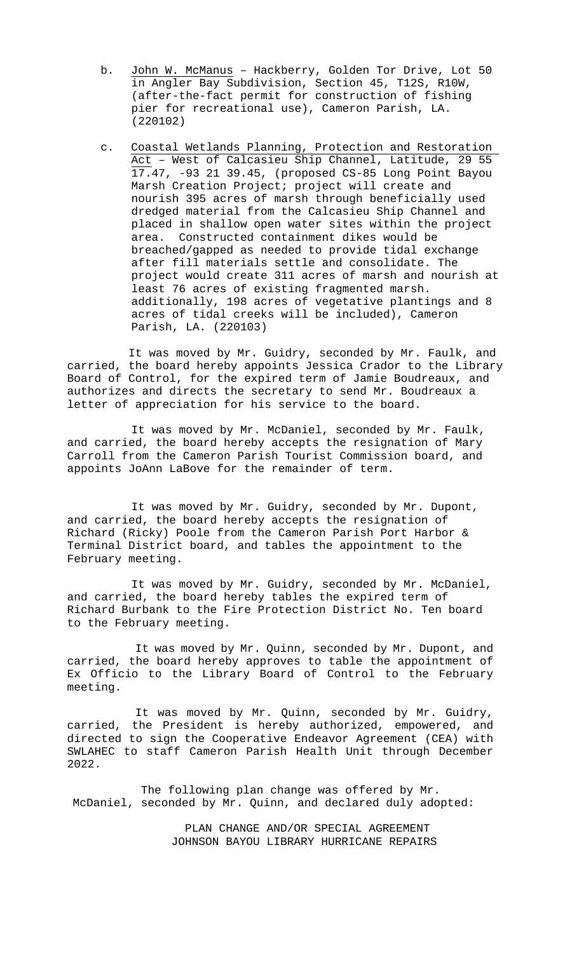- b. John W. McManus Hackberry, Golden Tor Drive, Lot 50 in Angler Bay Subdivision, Section 45, T12S, R10W, (after-the-fact permit for construction of fishing pier for recreational use), Cameron Parish, LA. (220102)
- c. Coastal Wetlands Planning, Protection and Restoration Act – West of Calcasieu Ship Channel, Latitude, 29 55 17.47, -93 21 39.45, (proposed CS-85 Long Point Bayou Marsh Creation Project; project will create and nourish 395 acres of marsh through beneficially used dredged material from the Calcasieu Ship Channel and placed in shallow open water sites within the project area. Constructed containment dikes would be breached/gapped as needed to provide tidal exchange after fill materials settle and consolidate. The project would create 311 acres of marsh and nourish at least 76 acres of existing fragmented marsh. additionally, 198 acres of vegetative plantings and 8 acres of tidal creeks will be included), Cameron Parish, LA. (220103)

It was moved by Mr. Guidry, seconded by Mr. Faulk, and carried, the board hereby appoints Jessica Crador to the Library Board of Control, for the expired term of Jamie Boudreaux, and authorizes and directs the secretary to send Mr. Boudreaux a letter of appreciation for his service to the board.

It was moved by Mr. McDaniel, seconded by Mr. Faulk, and carried, the board hereby accepts the resignation of Mary Carroll from the Cameron Parish Tourist Commission board, and appoints JoAnn LaBove for the remainder of term.

It was moved by Mr. Guidry, seconded by Mr. Dupont, and carried, the board hereby accepts the resignation of Richard (Ricky) Poole from the Cameron Parish Port Harbor & Terminal District board, and tables the appointment to the February meeting.

It was moved by Mr. Guidry, seconded by Mr. McDaniel, and carried, the board hereby tables the expired term of Richard Burbank to the Fire Protection District No. Ten board to the February meeting.

It was moved by Mr. Quinn, seconded by Mr. Dupont, and carried, the board hereby approves to table the appointment of Ex Officio to the Library Board of Control to the February meeting.

It was moved by Mr. Quinn, seconded by Mr. Guidry, carried, the President is hereby authorized, empowered, and directed to sign the Cooperative Endeavor Agreement (CEA) with SWLAHEC to staff Cameron Parish Health Unit through December 2022.

The following plan change was offered by Mr. McDaniel, seconded by Mr. Quinn, and declared duly adopted:

> PLAN CHANGE AND/OR SPECIAL AGREEMENT JOHNSON BAYOU LIBRARY HURRICANE REPAIRS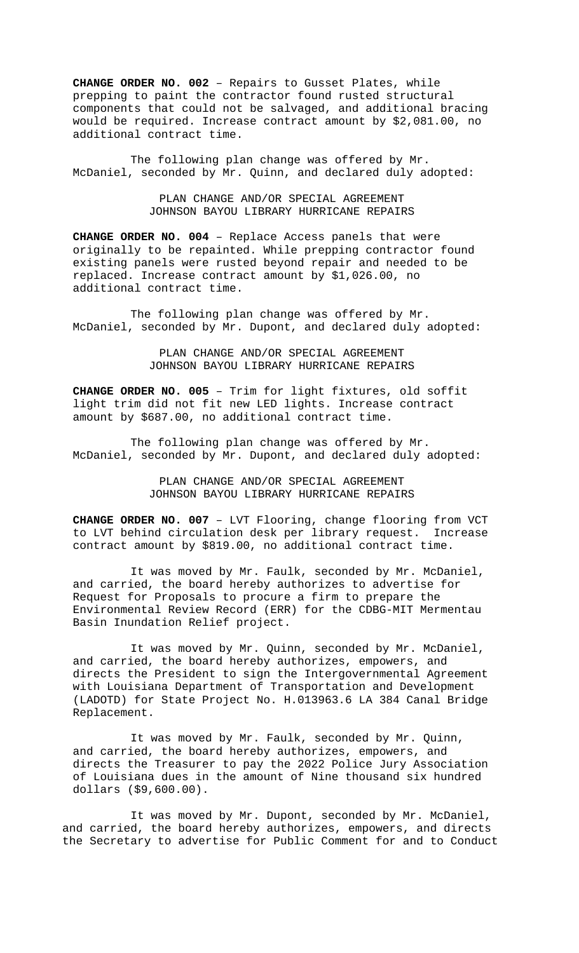**CHANGE ORDER NO. 002** – Repairs to Gusset Plates, while prepping to paint the contractor found rusted structural components that could not be salvaged, and additional bracing would be required. Increase contract amount by \$2,081.00, no additional contract time.

The following plan change was offered by Mr. McDaniel, seconded by Mr. Quinn, and declared duly adopted:

> PLAN CHANGE AND/OR SPECIAL AGREEMENT JOHNSON BAYOU LIBRARY HURRICANE REPAIRS

**CHANGE ORDER NO. 004** – Replace Access panels that were originally to be repainted. While prepping contractor found existing panels were rusted beyond repair and needed to be replaced. Increase contract amount by \$1,026.00, no additional contract time.

The following plan change was offered by Mr. McDaniel, seconded by Mr. Dupont, and declared duly adopted:

> PLAN CHANGE AND/OR SPECIAL AGREEMENT JOHNSON BAYOU LIBRARY HURRICANE REPAIRS

**CHANGE ORDER NO. 005** – Trim for light fixtures, old soffit light trim did not fit new LED lights. Increase contract amount by \$687.00, no additional contract time.

The following plan change was offered by Mr. McDaniel, seconded by Mr. Dupont, and declared duly adopted:

> PLAN CHANGE AND/OR SPECIAL AGREEMENT JOHNSON BAYOU LIBRARY HURRICANE REPAIRS

**CHANGE ORDER NO. 007** - LVT Flooring, change flooring from VCT<br>to LVT behind circulation desk per library request. Increase to LVT behind circulation desk per library request. contract amount by \$819.00, no additional contract time.

It was moved by Mr. Faulk, seconded by Mr. McDaniel, and carried, the board hereby authorizes to advertise for Request for Proposals to procure a firm to prepare the Environmental Review Record (ERR) for the CDBG-MIT Mermentau Basin Inundation Relief project.

It was moved by Mr. Quinn, seconded by Mr. McDaniel, and carried, the board hereby authorizes, empowers, and directs the President to sign the Intergovernmental Agreement with Louisiana Department of Transportation and Development (LADOTD) for State Project No. H.013963.6 LA 384 Canal Bridge Replacement.

It was moved by Mr. Faulk, seconded by Mr. Quinn, and carried, the board hereby authorizes, empowers, and directs the Treasurer to pay the 2022 Police Jury Association of Louisiana dues in the amount of Nine thousand six hundred dollars (\$9,600.00).

It was moved by Mr. Dupont, seconded by Mr. McDaniel, and carried, the board hereby authorizes, empowers, and directs the Secretary to advertise for Public Comment for and to Conduct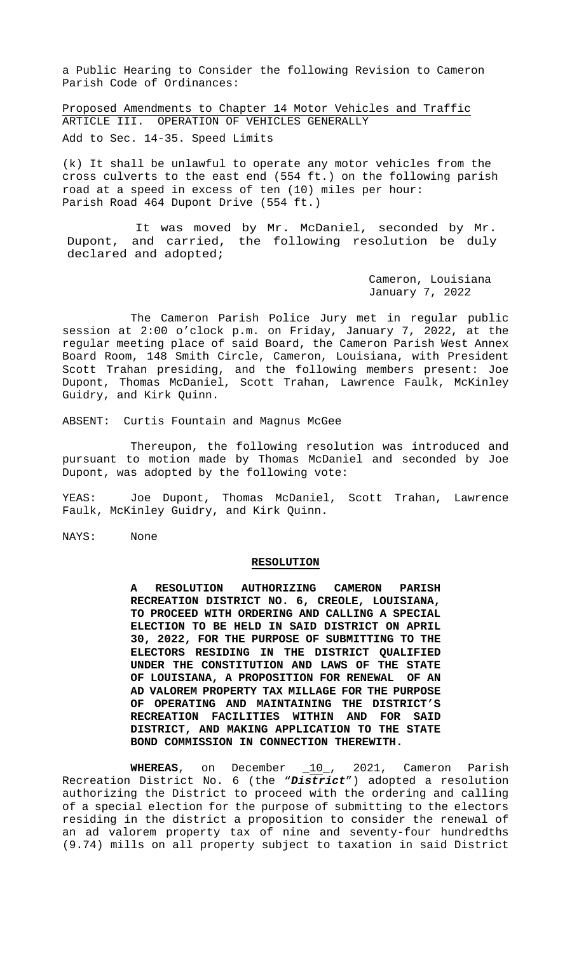a Public Hearing to Consider the following Revision to Cameron Parish Code of Ordinances:

Proposed Amendments to Chapter 14 Motor Vehicles and Traffic ARTICLE III. OPERATION OF VEHICLES GENERALLY Add to Sec. 14-35. Speed Limits

(k) It shall be unlawful to operate any motor vehicles from the cross culverts to the east end (554 ft.) on the following parish road at a speed in excess of ten (10) miles per hour: Parish Road 464 Dupont Drive (554 ft.)

It was moved by Mr. McDaniel, seconded by Mr. Dupont, and carried, the following resolution be duly declared and adopted;

> Cameron, Louisiana January 7, 2022

The Cameron Parish Police Jury met in regular public session at 2:00 o'clock p.m. on Friday, January 7, 2022, at the regular meeting place of said Board, the Cameron Parish West Annex Board Room, 148 Smith Circle, Cameron, Louisiana, with President Scott Trahan presiding, and the following members present: Joe Dupont, Thomas McDaniel, Scott Trahan, Lawrence Faulk, McKinley Guidry, and Kirk Quinn.

ABSENT: Curtis Fountain and Magnus McGee

Thereupon, the following resolution was introduced and pursuant to motion made by Thomas McDaniel and seconded by Joe Dupont, was adopted by the following vote:

YEAS: Joe Dupont, Thomas McDaniel, Scott Trahan, Lawrence Faulk, McKinley Guidry, and Kirk Quinn.

NAYS: None

## **RESOLUTION**

**A RESOLUTION AUTHORIZING CAMERON PARISH RECREATION DISTRICT NO. 6, CREOLE, LOUISIANA, TO PROCEED WITH ORDERING AND CALLING A SPECIAL ELECTION TO BE HELD IN SAID DISTRICT ON APRIL 30, 2022, FOR THE PURPOSE OF SUBMITTING TO THE ELECTORS RESIDING IN THE DISTRICT QUALIFIED UNDER THE CONSTITUTION AND LAWS OF THE STATE OF LOUISIANA, A PROPOSITION FOR RENEWAL OF AN AD VALOREM PROPERTY TAX MILLAGE FOR THE PURPOSE OF OPERATING AND MAINTAINING THE DISTRICT'S RECREATION FACILITIES WITHIN AND FOR SAID DISTRICT, AND MAKING APPLICATION TO THE STATE BOND COMMISSION IN CONNECTION THEREWITH.**

**WHEREAS**, on December \_10\_, 2021, Cameron Parish Recreation District No. 6 (the "*District*") adopted a resolution authorizing the District to proceed with the ordering and calling of a special election for the purpose of submitting to the electors residing in the district a proposition to consider the renewal of an ad valorem property tax of nine and seventy-four hundredths (9.74) mills on all property subject to taxation in said District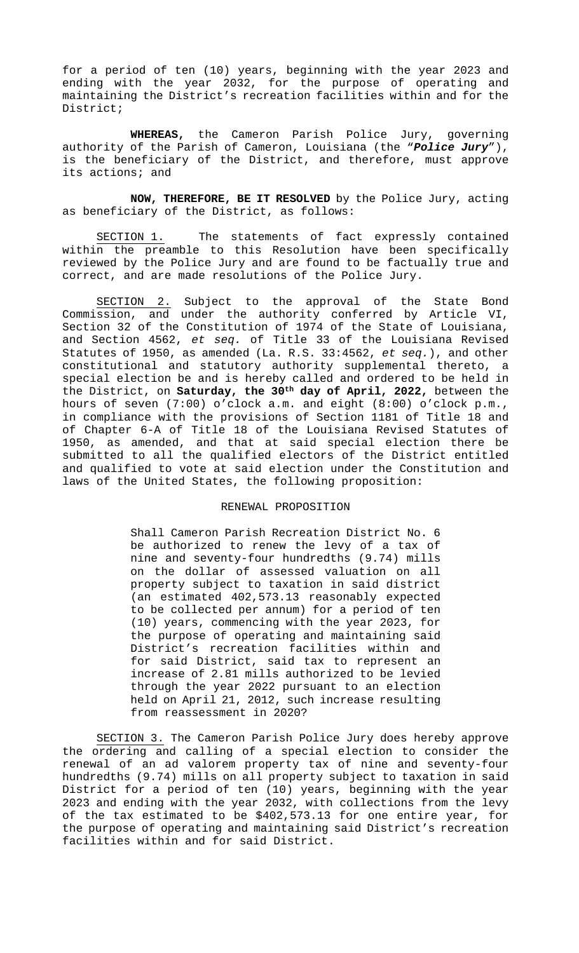for a period of ten (10) years, beginning with the year 2023 and ending with the year 2032, for the purpose of operating and maintaining the District's recreation facilities within and for the District;

**WHEREAS,** the Cameron Parish Police Jury, governing authority of the Parish of Cameron, Louisiana (the "*Police Jury*"), is the beneficiary of the District, and therefore, must approve its actions; and

**NOW, THEREFORE, BE IT RESOLVED** by the Police Jury, acting as beneficiary of the District, as follows:

SECTION 1. The statements of fact expressly contained within the preamble to this Resolution have been specifically reviewed by the Police Jury and are found to be factually true and correct, and are made resolutions of the Police Jury.

SECTION 2. Subject to the approval of the State Bond Commission, and under the authority conferred by Article VI, Section 32 of the Constitution of 1974 of the State of Louisiana, and Section 4562, *et seq.* of Title 33 of the Louisiana Revised Statutes of 1950, as amended (La. R.S. 33:4562, *et seq.*), and other constitutional and statutory authority supplemental thereto, a special election be and is hereby called and ordered to be held in the District, on **Saturday, the 30th day of April, 2022,** between the hours of seven (7:00) o'clock a.m. and eight (8:00) o'clock p.m., in compliance with the provisions of Section 1181 of Title 18 and of Chapter 6-A of Title 18 of the Louisiana Revised Statutes of 1950, as amended, and that at said special election there be submitted to all the qualified electors of the District entitled and qualified to vote at said election under the Constitution and laws of the United States, the following proposition:

### RENEWAL PROPOSITION

Shall Cameron Parish Recreation District No. 6 be authorized to renew the levy of a tax of nine and seventy-four hundredths (9.74) mills on the dollar of assessed valuation on all property subject to taxation in said district (an estimated 402,573.13 reasonably expected to be collected per annum) for a period of ten (10) years, commencing with the year 2023, for the purpose of operating and maintaining said District's recreation facilities within and for said District, said tax to represent an increase of 2.81 mills authorized to be levied through the year 2022 pursuant to an election held on April 21, 2012, such increase resulting from reassessment in 2020?

SECTION 3. The Cameron Parish Police Jury does hereby approve the ordering and calling of a special election to consider the renewal of an ad valorem property tax of nine and seventy-four hundredths (9.74) mills on all property subject to taxation in said District for a period of ten (10) years, beginning with the year 2023 and ending with the year 2032, with collections from the levy of the tax estimated to be \$402,573.13 for one entire year, for the purpose of operating and maintaining said District's recreation facilities within and for said District.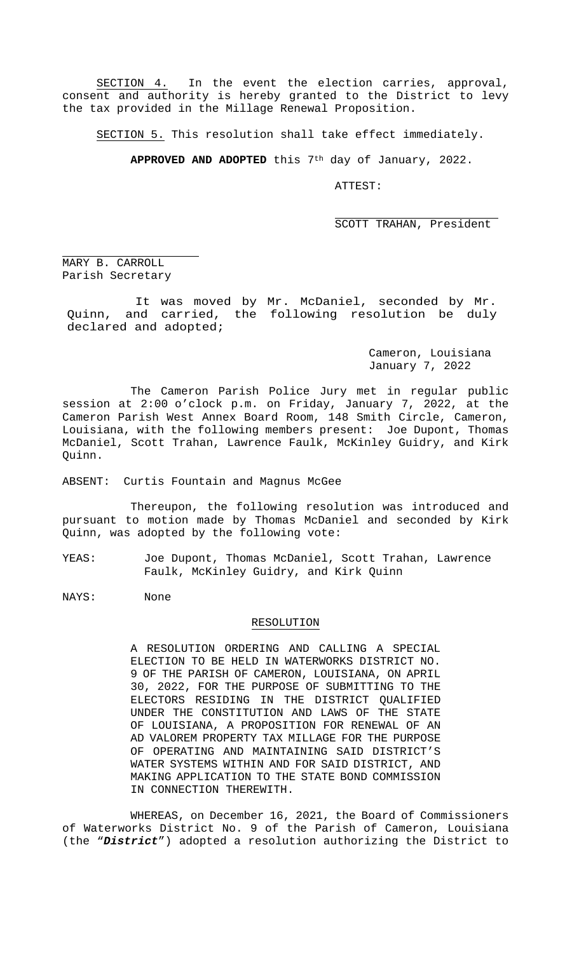SECTION 4. In the event the election carries, approval, consent and authority is hereby granted to the District to levy the tax provided in the Millage Renewal Proposition.

SECTION 5. This resolution shall take effect immediately.

**APPROVED AND ADOPTED** this 7th day of January, 2022.

ATTEST:

j.

SCOTT TRAHAN, President

MARY B. CARROLL Parish Secretary

j.

It was moved by Mr. McDaniel, seconded by Mr. Quinn, and carried, the following resolution be duly declared and adopted;

> Cameron, Louisiana January 7, 2022

The Cameron Parish Police Jury met in regular public session at 2:00 o'clock p.m. on Friday, January 7, 2022, at the Cameron Parish West Annex Board Room, 148 Smith Circle, Cameron, Louisiana, with the following members present: Joe Dupont, Thomas McDaniel, Scott Trahan, Lawrence Faulk, McKinley Guidry, and Kirk Quinn.

ABSENT: Curtis Fountain and Magnus McGee

Thereupon, the following resolution was introduced and pursuant to motion made by Thomas McDaniel and seconded by Kirk Quinn, was adopted by the following vote:

YEAS: Joe Dupont, Thomas McDaniel, Scott Trahan, Lawrence Faulk, McKinley Guidry, and Kirk Quinn

NAYS: None

# RESOLUTION

A RESOLUTION ORDERING AND CALLING A SPECIAL ELECTION TO BE HELD IN WATERWORKS DISTRICT NO. 9 OF THE PARISH OF CAMERON, LOUISIANA, ON APRIL 30, 2022, FOR THE PURPOSE OF SUBMITTING TO THE ELECTORS RESIDING IN THE DISTRICT QUALIFIED UNDER THE CONSTITUTION AND LAWS OF THE STATE OF LOUISIANA, A PROPOSITION FOR RENEWAL OF AN AD VALOREM PROPERTY TAX MILLAGE FOR THE PURPOSE OF OPERATING AND MAINTAINING SAID DISTRICT'S WATER SYSTEMS WITHIN AND FOR SAID DISTRICT, AND MAKING APPLICATION TO THE STATE BOND COMMISSION IN CONNECTION THEREWITH.

WHEREAS, on December 16, 2021, the Board of Commissioners of Waterworks District No. 9 of the Parish of Cameron, Louisiana (the "*District*") adopted a resolution authorizing the District to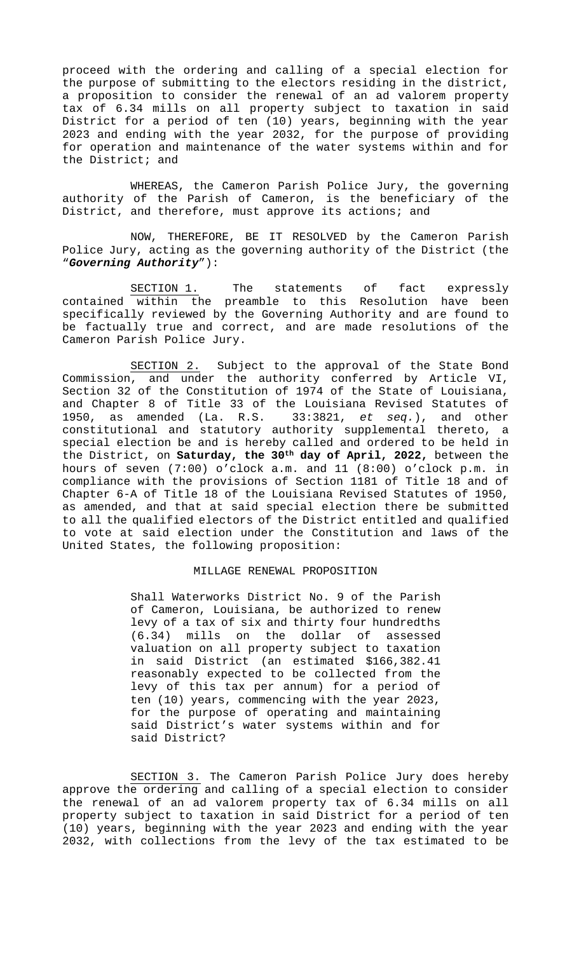proceed with the ordering and calling of a special election for the purpose of submitting to the electors residing in the district, a proposition to consider the renewal of an ad valorem property tax of 6.34 mills on all property subject to taxation in said District for a period of ten (10) years, beginning with the year 2023 and ending with the year 2032, for the purpose of providing for operation and maintenance of the water systems within and for the District; and

WHEREAS, the Cameron Parish Police Jury, the governing authority of the Parish of Cameron, is the beneficiary of the District, and therefore, must approve its actions; and

NOW, THEREFORE, BE IT RESOLVED by the Cameron Parish Police Jury, acting as the governing authority of the District (the "*Governing Authority*"):

SECTION 1. The statements of fact expressly contained within the preamble to this Resolution have been specifically reviewed by the Governing Authority and are found to be factually true and correct, and are made resolutions of the Cameron Parish Police Jury.

SECTION 2. Subject to the approval of the State Bond Commission, and under the authority conferred by Article VI, Section 32 of the Constitution of 1974 of the State of Louisiana, and Chapter 8 of Title 33 of the Louisiana Revised Statutes of 1950, as amended (La. R.S. 33:3821, *et seq.*), and other constitutional and statutory authority supplemental thereto, a special election be and is hereby called and ordered to be held in the District, on **Saturday, the 30th day of April, 2022,** between the hours of seven (7:00) o'clock a.m. and 11 (8:00) o'clock p.m. in compliance with the provisions of Section 1181 of Title 18 and of Chapter 6-A of Title 18 of the Louisiana Revised Statutes of 1950, as amended, and that at said special election there be submitted to all the qualified electors of the District entitled and qualified to vote at said election under the Constitution and laws of the United States, the following proposition:

### MILLAGE RENEWAL PROPOSITION

Shall Waterworks District No. 9 of the Parish of Cameron, Louisiana, be authorized to renew levy of a tax of six and thirty four hundredths<br>(6.34) mills on the dollar of assessed dollar of assessed valuation on all property subject to taxation in said District (an estimated \$166,382.41 reasonably expected to be collected from the levy of this tax per annum) for a period of ten (10) years, commencing with the year 2023, for the purpose of operating and maintaining said District's water systems within and for said District?

SECTION 3. The Cameron Parish Police Jury does hereby approve the ordering and calling of a special election to consider the renewal of an ad valorem property tax of 6.34 mills on all property subject to taxation in said District for a period of ten (10) years, beginning with the year 2023 and ending with the year 2032, with collections from the levy of the tax estimated to be